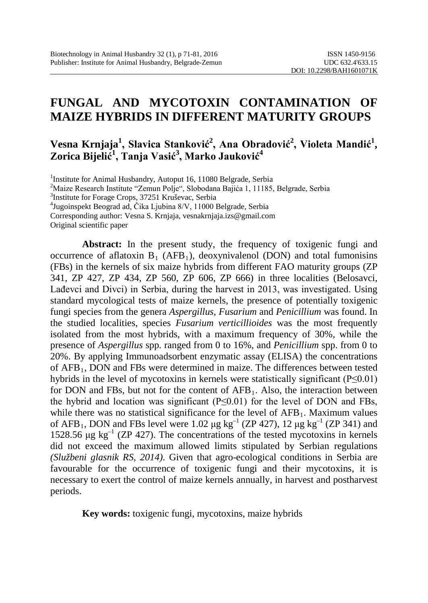# **FUNGAL AND MYCOTOXIN CONTAMINATION OF MAIZE HYBRIDS IN DIFFERENT MATURITY GROUPS**

# **Vesna Krnjaja<sup>1</sup> , Slavica Stanković<sup>2</sup> , Ana Obradović<sup>2</sup> , Violeta Mandić<sup>1</sup> , Zorica Bijelić 1 , Tanja Vasić<sup>3</sup> , Marko Jauković<sup>4</sup>**

<sup>1</sup>Institute for Animal Husbandry, Autoput 16, 11080 Belgrade, Serbia<sup>2</sup>Maize Research Institute "Zemun Polie", Slobodana Baiića 1, 11185

<sup>2</sup>Maize Research Institute "Zemun Polje", Slobodana Bajića 1, 11185, Belgrade, Serbia

3 Institute for Forage Crops, 37251 Kruševac, Serbia

4 Jugoinspekt Beograd ad, Čika Ljubina 8/V, 11000 Belgrade, Serbia

Corresponding author: Vesna S. Krnjaja, [vesnakrnjaja.izs@gmail.com](mailto:vesnakrnjaja.izs@gmail.com)

Original scientific paper

**Abstract:** In the present study, the frequency of toxigenic fungi and occurrence of aflatoxin  $B_1$  (AFB<sub>1</sub>), deoxynivalenol (DON) and total fumonisins (FBs) in the kernels of six maize hybrids from different FAO maturity groups (ZP 341, ZP 427, ZP 434, ZP 560, ZP 606, ZP 666) in three localities (Belosavci, Lađevci and Divci) in Serbia, during the harvest in 2013, was investigated. Using standard mycological tests of maize kernels, the presence of potentially toxigenic fungi species from the genera *Aspergillus, Fusarium* and *Penicillium* was found. In the studied localities, species *Fusarium verticillioides* was the most frequently isolated from the most hybrids, with a maximum frequency of 30%, while the presence of *Aspergillus* spp. ranged from 0 to 16%, and *Penicillium* spp. from 0 to 20%. By applying Immunoadsorbent enzymatic assay (ELISA) the concentrations of AFB1, DON and FBs were determined in maize. The differences between tested hybrids in the level of mycotoxins in kernels were statistically significant (P≤0.01) for DON and FBs, but not for the content of  $AFB<sub>1</sub>$ . Also, the interaction between the hybrid and location was significant  $(P \le 0.01)$  for the level of DON and FBs, while there was no statistical significance for the level of  $AFB<sub>1</sub>$ . Maximum values of AFB<sub>1</sub>, DON and FBs level were 1.02  $\mu$ g kg<sup>-1</sup> (ZP 427), 12  $\mu$ g kg<sup>-1</sup> (ZP 341) and 1528.56  $\mu$ g kg<sup>-1</sup> (ZP 427). The concentrations of the tested mycotoxins in kernels did not exceed the maximum allowed limits stipulated by Serbian regulations *(Službeni glasnik RS, 2014)*. Given that agro-ecological conditions in Serbia are favourable for the occurrence of toxigenic fungi and their mycotoxins, it is necessary to exert the control of maize kernels annually, in harvest and postharvest periods.

**Key words:** toxigenic fungi, mycotoxins, maize hybrids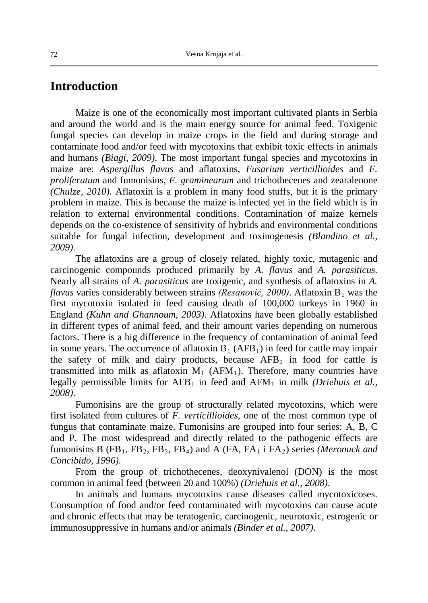#### **Introduction**

Maize is one of the economically most important cultivated plants in Serbia and around the world and is the main energy source for animal feed. Toxigenic fungal species can develop in maize crops in the field and during storage and contaminate food and/or feed with mycotoxins that exhibit toxic effects in animals and humans *(Biagi, 2009)*. The most important fungal species and mycotoxins in maize are: *Aspergillus flavus* and aflatoxins, *Fusarium verticillioides* and *F. proliferatum* and fumonisins, *F. graminearum* and trichothecenes and zearalenone *(Chulze, 2010)*. Aflatoxin is a problem in many food stuffs, but it is the primary problem in maize. This is because the maize is infected yet in the field which is in relation to external environmental conditions. Contamination of maize kernels depends on the co-existence of sensitivity of hybrids and environmental conditions suitable for fungal infection, development and toxinogenesis *(Blandino et al., 2009)*.

The aflatoxins are a group of closely related, highly toxic, mutagenic and carcinogenic compounds produced primarily by *A. flavus* and *A. parasiticus*. Nearly all strains of *A. parasiticus* are toxigenic, and synthesis of aflatoxins in *A. flavus* varies considerably between strains *(Resanović, 2000)*. Aflatoxin  $B_1$  was the first mycotoxin isolated in feed causing death of 100,000 turkeys in 1960 in England *(Kuhn and Ghannoum, 2003)*. Aflatoxins have been globally established in different types of animal feed, and their amount varies depending on numerous factors. There is a big difference in the frequency of contamination of animal feed in some years. The occurrence of aflatoxin  $\overline{B}_1$  (AFB<sub>1</sub>) in feed for cattle may impair the safety of milk and dairy products, because  $AFB<sub>1</sub>$  in food for cattle is transmitted into milk as aflatoxin  $M_1$  (AFM<sub>1</sub>). Therefore, many countries have legally permissible limits for  $AFB_1$  in feed and  $AFM_1$  in milk *(Driehuis et al.,*  $\overline{a}$ ) *2008)*.

Fumonisins are the group of structurally related mycotoxins, which were first isolated from cultures of *F. verticillioides*, one of the most common type of fungus that contaminate maize. Fumonisins are grouped into four series: A, B, C and P. The most widespread and directly related to the pathogenic effects are fumonisins B (FB<sub>1</sub>, FB<sub>2</sub>, FB<sub>3</sub>, FB<sub>4</sub>) and A (FA, FA<sub>1</sub> i FA<sub>2</sub>) series *(Meronuck and Concibido, 1996)*.

From the group of trichothecenes, deoxynivalenol (DON) is the most common in animal feed (between 20 and 100%) *(Driehuis et al., 2008)*.

In animals and humans mycotoxins cause diseases called mycotoxicoses. Consumption of food and/or feed contaminated with mycotoxins can cause acute and chronic effects that may be teratogenic, carcinogenic, neurotoxic, estrogenic or immunosuppressive in humans and/or animals *(Binder et al., 2007)*.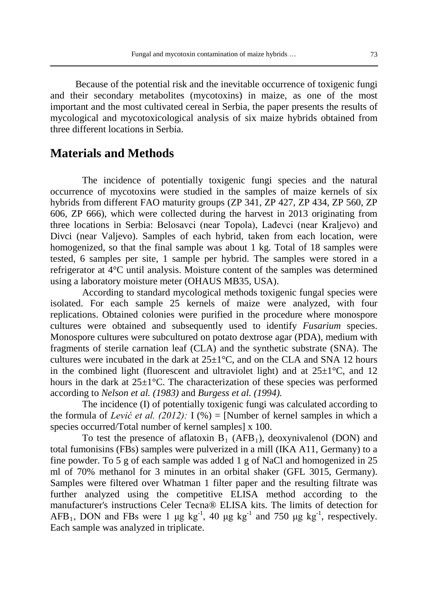Because of the potential risk and the inevitable occurrence of toxigenic fungi and their secondary metabolites (mycotoxins) in maize, as one of the most important and the most cultivated cereal in Serbia, the paper presents the results of mycological and mycotoxicological analysis of six maize hybrids obtained from three different locations in Serbia.

### **Materials and Methods**

The incidence of potentially toxigenic fungi species and the natural occurrence of mycotoxins were studied in the samples of maize kernels of six hybrids from different FAO maturity groups (ZP 341, ZP 427, ZP 434, ZP 560, ZP 606, ZP 666), which were collected during the harvest in 2013 originating from three locations in Serbia: Belosavci (near Topola), Lađevci (near Kraljevo) and Divci (near Valjevo). Samples of each hybrid, taken from each location, were homogenized, so that the final sample was about 1 kg. Total of 18 samples were tested, 6 samples per site, 1 sample per hybrid. The samples were stored in a refrigerator at 4°C until analysis. Moisture content of the samples was determined using a laboratory moisture meter (OHAUS MB35, USA).

According to standard mycological methods toxigenic fungal species were isolated. For each sample 25 kernels of maize were analyzed, with four replications. Obtained colonies were purified in the procedure where monospore cultures were obtained and subsequently used to identify *Fusarium* species. Monospore cultures were subcultured on potato dextrose agar (PDA), medium with fragments of sterile carnation leaf (CLA) and the synthetic substrate (SNA). The cultures were incubated in the dark at  $25\pm1\degree C$ , and on the CLA and SNA 12 hours in the combined light (fluorescent and ultraviolet light) and at  $25\pm1^{\circ}$ C, and 12 hours in the dark at  $25\pm1^{\circ}$ C. The characterization of these species was performed according to *Nelson et al. (1983)* and *Burgess et al. (1994).*

The incidence (I) of potentially toxigenic fungi was calculated according to the formula of *Lević et al.* (2012): I (%) = [Number of kernel samples in which a species occurred/Total number of kernel samples] x 100.

To test the presence of aflatoxin  $B_1$  (AFB<sub>1</sub>), deoxynivalenol (DON) and total fumonisins (FBs) samples were pulverized in a mill (IKA A11, Germany) to a fine powder. To 5 g of each sample was added 1 g of NaCl and homogenized in 25 ml of 70% methanol for 3 minutes in an orbital shaker (GFL 3015, Germany). Samples were filtered over Whatman 1 filter paper and the resulting filtrate was further analyzed using the competitive ELISA method according to the manufacturer's instructions Celer Tecna® ELISA kits. The limits of detection for AFB<sub>1</sub>, DON and FBs were 1  $\mu$ g kg<sup>-1</sup>, 40  $\mu$ g kg<sup>-1</sup> and 750  $\mu$ g kg<sup>-1</sup>, respectively. Each sample was analyzed in triplicate.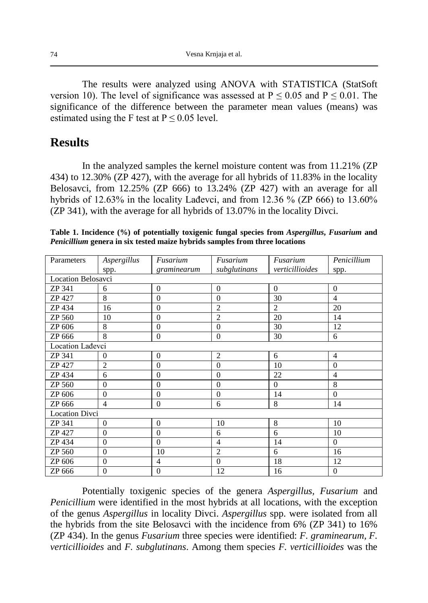The results were analyzed using ANOVA with STATISTICA (StatSoft version 10). The level of significance was assessed at  $P \le 0.05$  and  $P \le 0.01$ . The significance of the difference between the parameter mean values (means) was estimated using the F test at  $P \le 0.05$  level.

### **Results**

In the analyzed samples the kernel moisture content was from 11.21% (ZP 434) to 12.30% (ZP 427), with the average for all hybrids of 11.83% in the locality Belosavci, from 12.25% (ZP 666) to 13.24% (ZP 427) with an average for all hybrids of 12.63% in the locality Lađevci, and from 12.36 % (ZP 666) to 13.60% (ZP 341), with the average for all hybrids of 13.07% in the locality Divci.

| Parameters            | Aspergillus              | Fusarium       | Fusarium                        | Fusarium       | Penicillium    |  |  |  |
|-----------------------|--------------------------|----------------|---------------------------------|----------------|----------------|--|--|--|
|                       | spp.                     | graminearum    | verticillioides<br>subglutinans |                | spp.           |  |  |  |
| Location Belosavci    |                          |                |                                 |                |                |  |  |  |
| ZP 341                | 6                        | $\mathbf{0}$   | $\theta$                        | $\theta$       | $\theta$       |  |  |  |
| ZP 427                | 8                        | $\theta$       | $\Omega$                        | 30             | $\overline{4}$ |  |  |  |
| ZP 434                | 16                       | $\theta$       | $\overline{2}$                  | $\overline{2}$ | 20             |  |  |  |
| ZP 560                | 10                       | $\theta$       | $\overline{2}$                  | 20             | 14             |  |  |  |
| ZP 606                | 8                        | $\mathbf{0}$   | $\overline{0}$                  | 30             | 12             |  |  |  |
| ZP 666                | 8                        | $\theta$       | $\overline{0}$                  | 30             | 6              |  |  |  |
| Location Ladevci      |                          |                |                                 |                |                |  |  |  |
| ZP 341                | $\Omega$                 | $\theta$       | $\overline{2}$                  | 6              | $\overline{4}$ |  |  |  |
| ZP 427                | $\overline{c}$           | $\theta$       | $\theta$                        | 10             | $\theta$       |  |  |  |
| ZP 434                | 6                        | $\theta$       | $\Omega$                        | 22             | $\overline{4}$ |  |  |  |
| ZP 560                | $\Omega$                 | $\theta$       | $\theta$                        | $\Omega$       | 8              |  |  |  |
| ZP 606                | $\Omega$                 | $\mathbf{0}$   | $\overline{0}$                  | 14             | $\theta$       |  |  |  |
| ZP 666                | $\overline{\mathcal{L}}$ | $\theta$       | 6                               | 8              | 14             |  |  |  |
| <b>Location Divci</b> |                          |                |                                 |                |                |  |  |  |
| ZP 341                | $\theta$                 | $\theta$       | 10                              | 8              | 10             |  |  |  |
| ZP 427                | $\Omega$                 | $\mathbf{0}$   | 6                               | 6              | 10             |  |  |  |
| ZP 434                | $\overline{0}$           | $\mathbf{0}$   | $\overline{4}$                  | 14             | $\theta$       |  |  |  |
| <b>ZP 560</b>         | $\theta$                 | 10             | $\overline{2}$                  | 6              | 16             |  |  |  |
| ZP 606                | $\mathbf{0}$             | $\overline{4}$ | $\Omega$                        | 18             | 12             |  |  |  |
| ZP 666                | $\overline{0}$           | $\mathbf{0}$   | 12                              | 16             | $\theta$       |  |  |  |

**Table 1. Incidence (%) of potentially toxigenic fungal species from** *Aspergillus***,** *Fusarium* **and**  *Penicillium* **genera in six tested maize hybrids samples from three locations**

Potentially toxigenic species of the genera *Aspergillus, Fusarium* and *Penicillium* were identified in the most hybrids at all locations, with the exception of the genus *Aspergillus* in locality Divci. *Aspergillus* spp. were isolated from all the hybrids from the site Belosavci with the incidence from 6% (ZP 341) to 16% (ZP 434). In the genus *Fusarium* three species were identified: *F. graminearum, F. verticillioides* and *F. subglutinans*. Among them species *F. verticillioides* was the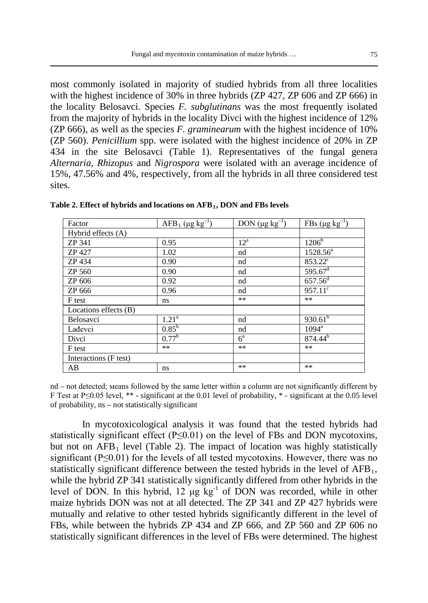most commonly isolated in majority of studied hybrids from all three localities with the highest incidence of 30% in three hybrids (ZP 427, ZP 606 and ZP 666) in the locality Belosavci. Species *F. subglutinans* was the most frequently isolated from the majority of hybrids in the locality Divci with the highest incidence of 12% (ZP 666), as well as the species *F. graminearum* with the highest incidence of 10% (ZP 560). *Penicillium* spp. were isolated with the highest incidence of 20% in ZP 434 in the site Belosavci (Table 1). Representatives of the fungal genera *Alternaria, Rhizopus* and *Nigrospora* were isolated with an average incidence of 15%, 47.56% and 4%, respectively, from all the hybrids in all three considered test sites.

| Factor                | $AFB_1$ (µg kg <sup>-1</sup> ) | DON $(\mu g kg^{-1})$ | FBs ( $\mu$ g kg <sup>-1</sup> ) |
|-----------------------|--------------------------------|-----------------------|----------------------------------|
| Hybrid effects (A)    |                                |                       |                                  |
| ZP 341                | 0.95                           | $12^a$                | $1206^{\rm b}$                   |
| ZP 427                | 1.02                           | nd                    | 1528.56 <sup>a</sup>             |
| ZP 434                | 0.90                           | nd                    | 853.22 <sup>c</sup>              |
| ZP 560                | 0.90                           | nd                    | $595.67$ <sup>d</sup>            |
| ZP 606                | 0.92                           | nd                    | $657.56$ <sup>d</sup>            |
| ZP 666                | 0.96                           | nd                    | $957.11^c$                       |
| F test                | ns.                            | **                    | $***$                            |
| Locations effects (B) |                                |                       |                                  |
| Belosavci             | $1.21^{a}$                     | nd                    | $930.61^{b}$                     |
| Lađevci               | $0.85^{\rm b}$                 | nd                    | $1094^{\rm a}$                   |
| Divci                 | $0.77^{\rm b}$                 | $6^{\mathrm{a}}$      | 874.44 <sup>b</sup>              |
| F test                | $***$                          | $***$                 | $***$                            |
| Interactions (F test) |                                |                       |                                  |
| AB                    | ns                             | $**$                  | $***$                            |

**Table 2. Effect of hybrids and locations on AFB1, DON and FBs levels**

nd – not detected; мeans followed by the same letter within a column are not significantly different by F Test at P≤0.05 level, \*\* - significant at the 0.01 level of probability, \* - significant at the 0.05 level of probability, ns – not statistically significant

In mycotoxicological analysis it was found that the tested hybrids had statistically significant effect (P≤0.01) on the level of FBs and DON mycotoxins, but not on  $AFB_1$  level (Table 2). The impact of location was highly statistically significant (P≤0.01) for the levels of all tested mycotoxins. However, there was no statistically significant difference between the tested hybrids in the level of  $AFB<sub>1</sub>$ , while the hybrid ZP 341 statistically significantly differed from other hybrids in the level of DON. In this hybrid,  $12 \mu g kg^{-1}$  of DON was recorded, while in other maize hybrids DON was not at all detected. The ZP 341 and ZP 427 hybrids were mutually and relative to other tested hybrids significantly different in the level of FBs, while between the hybrids ZP 434 and ZP 666, and ZP 560 and ZP 606 no statistically significant differences in the level of FBs were determined. The highest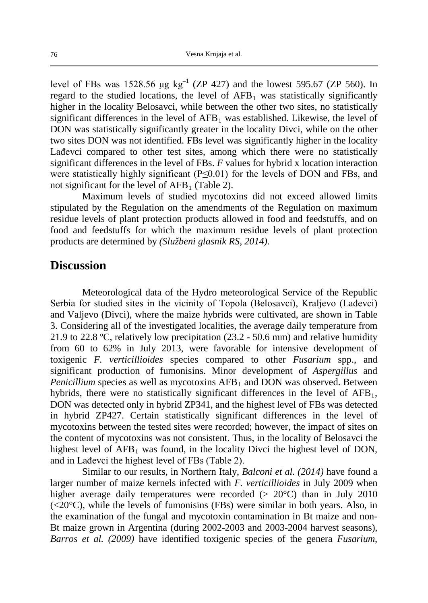level of FBs was 1528.56  $\mu$ g kg<sup>-1</sup> (ZP 427) and the lowest 595.67 (ZP 560). In regard to the studied locations, the level of  $AFB<sub>1</sub>$  was statistically significantly higher in the locality Belosavci, while between the other two sites, no statistically significant differences in the level of  $AFB<sub>1</sub>$  was established. Likewise, the level of DON was statistically significantly greater in the locality Divci, while on the other two sites DON was not identified. FBs level was significantly higher in the locality Lađevci compared to other test sites, among which there were no statistically significant differences in the level of FBs. *F* values for hybrid x location interaction were statistically highly significant (P≤0.01) for the levels of DON and FBs, and not significant for the level of  $AFB<sub>1</sub>$  (Table 2).

Maximum levels of studied mycotoxins did not exceed allowed limits stipulated by the Regulation on the amendments of the Regulation on maximum residue levels of plant protection products allowed in food and feedstuffs, and on food and feedstuffs for which the maximum residue levels of plant protection products are determined by *(Službeni glasnik RS, 2014)*.

#### **Discussion**

Meteorological data of the Hydro meteorological Service of the Republic Serbia for studied sites in the vicinity of Topola (Belosavci), Kraljevo (Lađevci) and Valjevo (Divci), where the maize hybrids were cultivated, are shown in Table 3. Considering all of the investigated localities, the average daily temperature from 21.9 to 22.8 ºC, relatively low precipitation (23.2 - 50.6 mm) and relative humidity from 60 to 62% in July 2013, were favorable for intensive development of toxigenic *F. verticillioides* species compared to other *Fusarium* spp., and significant production of fumonisins. Minor development of *Aspergillus* and *Penicillium* species as well as mycotoxins AFB<sub>1</sub> and DON was observed. Between hybrids, there were no statistically significant differences in the level of  $AFB<sub>1</sub>$ , DON was detected only in hybrid ZP341, and the highest level of FBs was detected in hybrid ZP427. Certain statistically significant differences in the level of mycotoxins between the tested sites were recorded; however, the impact of sites on the content of mycotoxins was not consistent. Thus, in the locality of Belosavci the highest level of  $AFB<sub>1</sub>$  was found, in the locality Divci the highest level of DON, and in Lađevci the highest level of FBs (Table 2).

Similar to our results, in Northern Italy, *Balconi et al. (2014)* have found a larger number of maize kernels infected with *F. verticillioides* in July 2009 when higher average daily temperatures were recorded  $(> 20^{\circ}C)$  than in July 2010  $(<20^{\circ}$ C), while the levels of fumonisins (FBs) were similar in both years. Also, in the examination of the fungal and mycotoxin contamination in Bt maize and non-Bt maize grown in Argentina (during 2002-2003 and 2003-2004 harvest seasons), *Barros et al. (2009)* have identified toxigenic species of the genera *Fusarium,*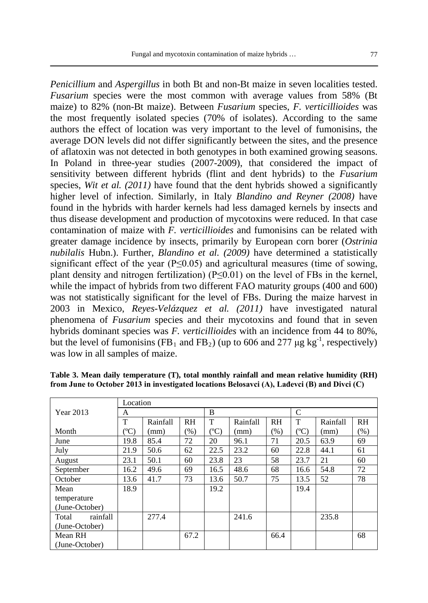*Penicillium* and *Aspergillus* in both Bt and non-Bt maize in seven localities tested. *Fusarium* species were the most common with average values from 58% (Bt maize) to 82% (non-Bt maize). Between *Fusarium* species, *F. verticillioides* was the most frequently isolated species (70% of isolates). According to the same authors the effect of location was very important to the level of fumonisins, the average DON levels did not differ significantly between the sites, and the presence of aflatoxin was not detected in both genotypes in both examined growing seasons. In Poland in three-year studies (2007-2009), that considered the impact of sensitivity between different hybrids (flint and dent hybrids) to the *Fusarium* species, *Wit et al. (2011)* have found that the dent hybrids showed a significantly higher level of infection. Similarly, in Italy *Blandino and Reyner (2008)* have found in the hybrids with harder kernels had less damaged kernels by insects and thus disease development and production of mycotoxins were reduced. In that case contamination of maize with *F. verticillioides* and fumonisins can be related with greater damage incidence by insects, primarily by European corn borer (*Ostrinia nubilalis* Hubn.). Further, *Blandino et al. (2009)* have determined a statistically significant effect of the year ( $P \le 0.05$ ) and agricultural measures (time of sowing, plant density and nitrogen fertilization)  $(P<0.01)$  on the level of FBs in the kernel, while the impact of hybrids from two different FAO maturity groups (400 and 600) was not statistically significant for the level of FBs. During the maize harvest in 2003 in Mexico, *Reyes-Velázquez et al. (2011)* have investigated natural phenomena of *Fusarium* species and their mycotoxins and found that in seven hybrids dominant species was *F. verticillioides* with an incidence from 44 to 80%, but the level of fumonisins (FB<sub>1</sub> and FB<sub>2</sub>) (up to 606 and 277  $\mu$ g kg<sup>-1</sup>, respectively) was low in all samples of maize.

|                   | Location  |          |      |               |          |           |              |          |           |
|-------------------|-----------|----------|------|---------------|----------|-----------|--------------|----------|-----------|
| Year 2013         | A         |          |      | B             |          |           | $\mathsf{C}$ |          |           |
|                   | Т         | Rainfall | RH   | T             | Rainfall | <b>RH</b> | T            | Rainfall | <b>RH</b> |
| Month             | $({}^oC)$ | (mm)     | (%)  | $\rm ^{(o}C)$ | (mm)     | (%)       | $({}^oC)$    | (mm)     | $(\%)$    |
| June              | 19.8      | 85.4     | 72   | 20            | 96.1     | 71        | 20.5         | 63.9     | 69        |
| July              | 21.9      | 50.6     | 62   | 22.5          | 23.2     | 60        | 22.8         | 44.1     | 61        |
| August            | 23.1      | 50.1     | 60   | 23.8          | 23       | 58        | 23.7         | 21       | 60        |
| September         | 16.2      | 49.6     | 69   | 16.5          | 48.6     | 68        | 16.6         | 54.8     | 72        |
| October           | 13.6      | 41.7     | 73   | 13.6          | 50.7     | 75        | 13.5         | 52       | 78        |
| Mean              | 18.9      |          |      | 19.2          |          |           | 19.4         |          |           |
| temperature       |           |          |      |               |          |           |              |          |           |
| (June-October)    |           |          |      |               |          |           |              |          |           |
| rainfall<br>Total |           | 277.4    |      |               | 241.6    |           |              | 235.8    |           |
| (June-October)    |           |          |      |               |          |           |              |          |           |
| Mean RH           |           |          | 67.2 |               |          | 66.4      |              |          | 68        |
| (June-October)    |           |          |      |               |          |           |              |          |           |

**Table 3. Mean daily temperature (T), total monthly rainfall and mean relative humidity (RH) from June to October 2013 in investigated locations Belosavci (A), Lađevci (B) and Divci (C)**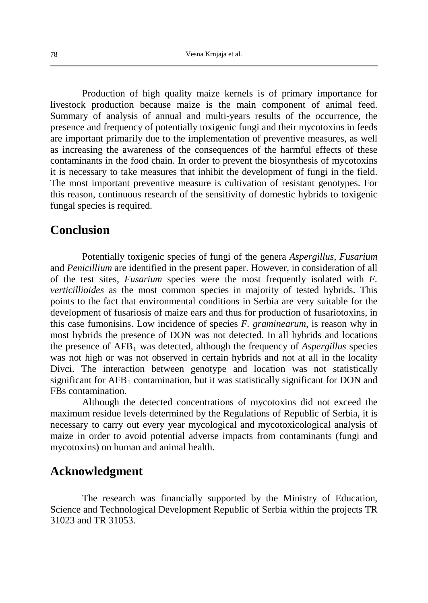Production of high quality maize kernels is of primary importance for livestock production because maize is the main component of animal feed. Summary of analysis of annual and multi-years results of the occurrence, the presence and frequency of potentially toxigenic fungi and their mycotoxins in feeds are important primarily due to the implementation of preventive measures, as well as increasing the awareness of the consequences of the harmful effects of these contaminants in the food chain. In order to prevent the biosynthesis of mycotoxins it is necessary to take measures that inhibit the development of fungi in the field. The most important preventive measure is cultivation of resistant genotypes. For this reason, continuous research of the sensitivity of domestic hybrids to toxigenic fungal species is required.

#### **Conclusion**

Potentially toxigenic species of fungi of the genera *Aspergillus, Fusarium* and *Penicillium* are identified in the present paper. However, in consideration of all of the test sites, *Fusarium* species were the most frequently isolated with *F. verticillioides* as the most common species in majority of tested hybrids. This points to the fact that environmental conditions in Serbia are very suitable for the development of fusariosis of maize ears and thus for production of fusariotoxins, in this case fumonisins. Low incidence of species *F. graminearum*, is reason why in most hybrids the presence of DON was not detected. In all hybrids and locations the presence of AFB1 was detected, although the frequency of *Aspergillus* species was not high or was not observed in certain hybrids and not at all in the locality Divci. The interaction between genotype and location was not statistically significant for  $AFB<sub>1</sub>$  contamination, but it was statistically significant for DON and FBs contamination.

Although the detected concentrations of mycotoxins did not exceed the maximum residue levels determined by the Regulations of Republic of Serbia, it is necessary to carry out every year mycological and mycotoxicological analysis of maize in order to avoid potential adverse impacts from contaminants (fungi and mycotoxins) on human and animal health.

# **Acknowledgment**

The research was financially supported by the Ministry of Education, Science and Technological Development Republic of Serbia within the projects TR 31023 and TR 31053.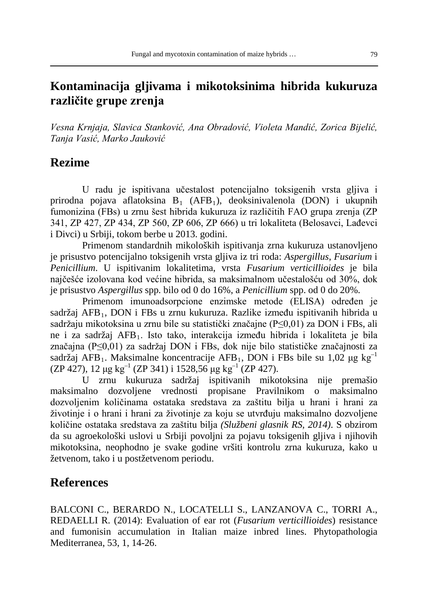# **Kontaminacija gljivama i mikotoksinima hibrida kukuruza različite grupe zrenja**

*Vesna Krnjaja, Slavica Stanković, Ana Obradović, Violeta Mandić, Zorica Bijelić, Tanja Vasić, Marko Jauković*

### **Rezime**

U radu je ispitivana učestalost potencijalno toksigenih vrsta gljiva i prirodna pojava aflatoksina  $B_1$  (AFB<sub>1</sub>), deoksinivalenola (DON) i ukupnih fumonizina (FBs) u zrnu šest hibrida kukuruza iz različitih FAO grupa zrenja (ZP 341, ZP 427, ZP 434, ZP 560, ZP 606, ZP 666) u tri lokaliteta (Belosavci, Lađevci i Divci) u Srbiji, tokom berbe u 2013. godini.

Primenom standardnih mikoloških ispitivanja zrna kukuruza ustanovljeno je prisustvo potencijalno toksigenih vrsta gljiva iz tri roda: *Aspergillus*, *Fusarium* i *Penicillium*. U ispitivanim lokalitetima, vrsta *Fusarium verticillioides* je bila najčešće izolovana kod većine hibrida, sa maksimalnom učestalošću od 30%, dok je prisustvo *Aspergillus* spp. bilo od 0 do 16%, a *Penicillium* spp. od 0 do 20%.

Primenom imunoadsorpcione enzimske metode (ELISA) određen je sadržaj AFB<sub>1</sub>, DON i FBs u zrnu kukuruza. Razlike između ispitivanih hibrida u sadržaju mikotoksina u zrnu bile su statistički značajne (P≤0,01) za DON i FBs, ali ne i za sadržaj AFB1. Isto tako, interakcija između hibrida i lokaliteta je bila značajna (P≤0,01) za sadržaj DON i FBs, dok nije bilo statističke značajnosti za sadržaj AFB<sub>1</sub>. Maksimalne koncentracije AFB<sub>1</sub>, DON i FBs bile su 1,02 μg kg<sup>-1</sup> (ZP 427), 12  $\mu$ g kg<sup>-1</sup> (ZP 341) i 1528,56  $\mu$ g kg<sup>-1</sup> (ZP 427).

U zrnu kukuruza sadržaj ispitivanih mikotoksina nije premašio maksimalno dozvoljene vrednosti propisane Pravilnikom o maksimalno dozvoljenim količinama ostataka sredstava za zaštitu bilja u hrani i hrani za životinje i o hrani i hrani za životinje za koju se utvrđuju maksimalno dozvoljene količine ostataka sredstava za zaštitu bilja *(Službeni glasnik RS, 2014)*. S obzirom da su agroekološki uslovi u Srbiji povoljni za pojavu toksigenih gljiva i njihovih mikotoksina, neophodno je svake godine vršiti kontrolu zrna kukuruza, kako u žetvenom, tako i u postžetvenom periodu.

# **References**

BALCONI C., BERARDO N., LOCATELLI S., LANZANOVA C., TORRI A., REDAELLI R. (2014): Evaluation of ear rot (*Fusarium verticillioides*) resistance and fumonisin accumulation in Italian maize inbred lines. Phytopathologia Mediterranea, 53, 1, 14-26.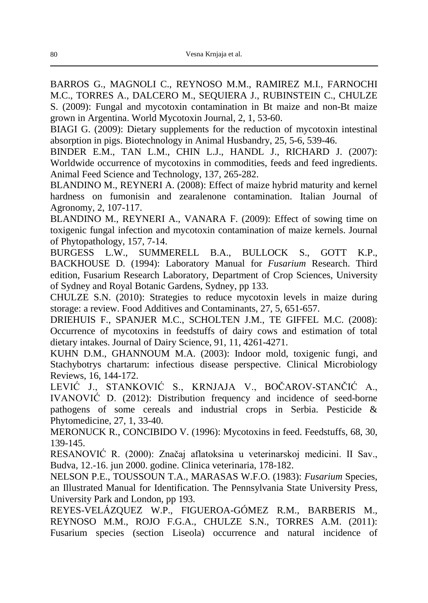BARROS G., MAGNOLI C., REYNOSO M.M., RAMIREZ M.I., FARNOCHI M.C., TORRES A., DALCERO M., SEQUIERA J., RUBINSTEIN C., CHULZE S. (2009): Fungal and mycotoxin contamination in Bt maize and non-Bt maize grown in Argentina. World Mycotoxin Journal, 2, 1, 53-60.

BIAGI G. (2009): Dietary supplements for the reduction of mycotoxin intestinal absorption in pigs. Biotechnology in Animal Husbandry, 25, 5-6, 539-46.

BINDER E.M., TAN L.M., CHIN L.J., HANDL J., RICHARD J. (2007): Worldwide occurrence of mycotoxins in commodities, feeds and feed ingredients. Animal Feed Science and Technology, 137, 265-282.

BLANDINO M., REYNERI A. (2008): Effect of maize hybrid maturity and kernel hardness on fumonisin and zearalenone contamination. Italian Journal of Agronomy, 2, 107-117.

BLANDINO M., REYNERI A., VANARA F. (2009): Effect of sowing time on toxigenic fungal infection and mycotoxin contamination of maize kernels. Journal of Phytopathology, 157, 7-14.

BURGESS L.W., SUMMERELL B.A., BULLOCK S., GOTT K.P., BACKHOUSE D. (1994): Laboratory Manual for *Fusarium* Research. Third edition, Fusarium Research Laboratory, Department of Crop Sciences, University of Sydney and Royal Botanic Gardens, Sydney, pp 133.

CHULZE S.N. (2010): Strategies to reduce mycotoxin levels in maize during storage: a review. Food Additives and Contaminants, 27, 5, 651-657.

DRIEHUIS F., SPANJER M.C., SCHOLTEN J.M., TE GIFFEL M.C. (2008): Occurrence of mycotoxins in feedstuffs of dairy cows and estimation of total dietary intakes. Journal of Dairy Science, 91, 11, 4261-4271.

KUHN D.M., GHANNOUM M.A. (2003): Indoor mold, toxigenic fungi, and Stachybotrys chartarum: infectious disease perspective. Clinical Microbiology Reviews, 16, 144-172.

LEVIĆ J., STANKOVIĆ S., KRNJAJA V., BOČAROV-STANČIĆ A., IVANOVIĆ D. (2012): Distribution frequency and incidence of seed-borne pathogens of some cereals and industrial crops in Serbia. Pesticide & Phytomedicine, 27, 1, 33-40.

MERONUCK R., CONCIBIDO V. (1996): Mycotoxins in feed. Feedstuffs, 68, 30, 139-145.

RESANOVIĆ R. (2000): Značaj aflatoksina u veterinarskoj medicini. II Sav., Budva, 12.-16. jun 2000. godine. Clinica veterinaria, 178-182.

NELSON P.E., TOUSSOUN T.A., MARASAS W.F.O. (1983): *Fusarium* Species, an Illustrated Manual for Identification. The Pennsylvania State University Press, University Park and London, pp 193.

REYES-VELÁZQUEZ W.P., FIGUEROA-GÓMEZ R.M., BARBERIS M., REYNOSO M.M., ROJO F.G.A., CHULZE S.N., TORRES A.M. (2011): Fusarium species (section Liseola) occurrence and natural incidence of